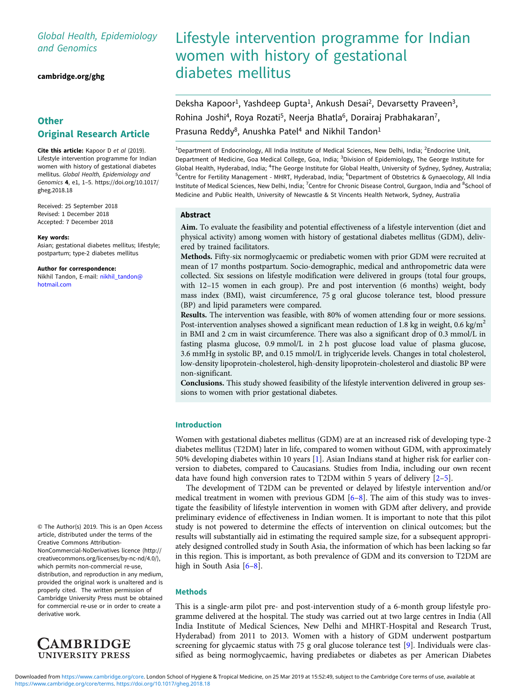# Global Health, Epidemiology and Genomics

[cambridge.org/ghg](https://www.cambridge.org/ghg)

# **Other** Original Research Article

Cite this article: Kapoor D et al (2019). Lifestyle intervention programme for Indian women with history of gestational diabetes mellitus. Global Health, Epidemiology and Genomics 4, e1, 1–5. [https://doi.org/10.1017/](https://doi.org/10.1017/gheg.2018.18) [gheg.2018.18](https://doi.org/10.1017/gheg.2018.18)

Received: 25 September 2018 Revised: 1 December 2018 Accepted: 7 December 2018

#### Key words:

Asian; gestational diabetes mellitus; lifestyle; postpartum; type-2 diabetes mellitus

#### Author for correspondence:

Nikhil Tandon, E-mail: [nikhil\\_tandon@](mailto:nikhil_tandon@hotmail.com) [hotmail.com](mailto:nikhil_tandon@hotmail.com)

© The Author(s) 2019. This is an Open Access article, distributed under the terms of the Creative Commons Attribution-

NonCommercial-NoDerivatives licence (http:// creativecommons.org/licenses/by-nc-nd/4.0/), which permits non-commercial re-use, distribution, and reproduction in any medium, provided the original work is unaltered and is properly cited. The written permission of Cambridge University Press must be obtained for commercial re-use or in order to create a derivative work.



# Lifestyle intervention programme for Indian women with history of gestational diabetes mellitus

Deksha Kapoor<sup>1</sup>, Yashdeep Gupta<sup>1</sup>, Ankush Desai<sup>2</sup>, Devarsetty Praveen<sup>3</sup>, Rohina Joshi<sup>4</sup>, Roya Rozati<sup>5</sup>, Neerja Bhatla<sup>6</sup>, Dorairaj Prabhakaran<sup>7</sup>, Prasuna Reddy<sup>8</sup>, Anushka Patel<sup>4</sup> and Nikhil Tandon<sup>1</sup>

<sup>1</sup>Department of Endocrinology, All India Institute of Medical Sciences, New Delhi, India; <sup>2</sup>Endocrine Unit, Department of Medicine, Goa Medical College, Goa, India; <sup>3</sup>Division of Epidemiology, The George Institute for Global Health, Hyderabad, India; <sup>4</sup>The George Institute for Global Health, University of Sydney, Sydney, Australia; <sup>5</sup>Centre for Fertility Management - MHRT, Hyderabad, India; <sup>6</sup>Department of Obstetrics & Gynaecology, All India Institute of Medical Sciences, New Delhi, India; <sup>7</sup>Centre for Chronic Disease Control, Gurgaon, India and <sup>8</sup>School of Medicine and Public Health, University of Newcastle & St Vincents Health Network, Sydney, Australia

#### Abstract

Aim. To evaluate the feasibility and potential effectiveness of a lifestyle intervention (diet and physical activity) among women with history of gestational diabetes mellitus (GDM), delivered by trained facilitators.

Methods. Fifty-six normoglycaemic or prediabetic women with prior GDM were recruited at mean of 17 months postpartum. Socio-demographic, medical and anthropometric data were collected. Six sessions on lifestyle modification were delivered in groups (total four groups, with 12–15 women in each group). Pre and post intervention (6 months) weight, body mass index (BMI), waist circumference, 75 g oral glucose tolerance test, blood pressure (BP) and lipid parameters were compared.

Results. The intervention was feasible, with 80% of women attending four or more sessions. Post-intervention analyses showed a significant mean reduction of 1.8 kg in weight, 0.6 kg/m<sup>2</sup> in BMI and 2 cm in waist circumference. There was also a significant drop of 0.3 mmol/L in fasting plasma glucose, 0.9 mmol/L in 2 h post glucose load value of plasma glucose, 3.6 mmHg in systolic BP, and 0.15 mmol/L in triglyceride levels. Changes in total cholesterol, low-density lipoprotein-cholesterol, high-density lipoprotein-cholesterol and diastolic BP were non-significant.

Conclusions. This study showed feasibility of the lifestyle intervention delivered in group sessions to women with prior gestational diabetes.

#### Introduction

Women with gestational diabetes mellitus (GDM) are at an increased risk of developing type-2 diabetes mellitus (T2DM) later in life, compared to women without GDM, with approximately 50% developing diabetes within 10 years [[1](#page-3-0)]. Asian Indians stand at higher risk for earlier conversion to diabetes, compared to Caucasians. Studies from India, including our own recent data have found high conversion rates to T2DM within 5 years of delivery [\[2](#page-3-0)–[5](#page-4-0)].

The development of T2DM can be prevented or delayed by lifestyle intervention and/or medical treatment in women with previous GDM  $[6-8]$  $[6-8]$  $[6-8]$  $[6-8]$ . The aim of this study was to investigate the feasibility of lifestyle intervention in women with GDM after delivery, and provide preliminary evidence of effectiveness in Indian women. It is important to note that this pilot study is not powered to determine the effects of intervention on clinical outcomes; but the results will substantially aid in estimating the required sample size, for a subsequent appropriately designed controlled study in South Asia, the information of which has been lacking so far in this region. This is important, as both prevalence of GDM and its conversion to T2DM are high in South Asia [[6](#page-4-0)–[8\]](#page-4-0).

#### **Methods**

This is a single-arm pilot pre- and post-intervention study of a 6-month group lifestyle programme delivered at the hospital. The study was carried out at two large centres in India (All India Institute of Medical Sciences, New Delhi and MHRT-Hospital and Research Trust, Hyderabad) from 2011 to 2013. Women with a history of GDM underwent postpartum screening for glycaemic status with 75 g oral glucose tolerance test [[9](#page-4-0)]. Individuals were classified as being normoglycaemic, having prediabetes or diabetes as per American Diabetes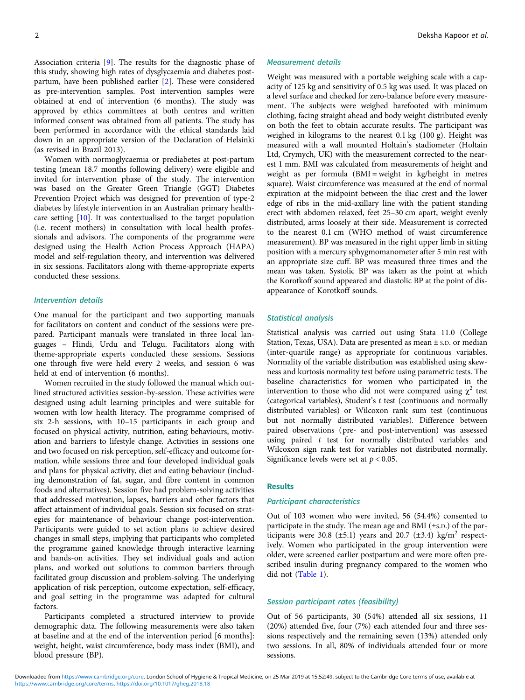2 Deksha Kapoor et al.

Association criteria [\[9\]](#page-4-0). The results for the diagnostic phase of this study, showing high rates of dysglycaemia and diabetes postpartum, have been published earlier [\[2\]](#page-3-0). These were considered as pre-intervention samples. Post intervention samples were obtained at end of intervention (6 months). The study was approved by ethics committees at both centres and written informed consent was obtained from all patients. The study has been performed in accordance with the ethical standards laid down in an appropriate version of the Declaration of Helsinki (as revised in Brazil 2013).

Women with normoglycaemia or prediabetes at post-partum testing (mean 18.7 months following delivery) were eligible and invited for intervention phase of the study. The intervention was based on the Greater Green Triangle (GGT) Diabetes Prevention Project which was designed for prevention of type-2 diabetes by lifestyle intervention in an Australian primary healthcare setting [[10](#page-4-0)]. It was contextualised to the target population (i.e. recent mothers) in consultation with local health professionals and advisors. The components of the programme were designed using the Health Action Process Approach (HAPA) model and self-regulation theory, and intervention was delivered in six sessions. Facilitators along with theme-appropriate experts conducted these sessions.

#### Intervention details

One manual for the participant and two supporting manuals for facilitators on content and conduct of the sessions were prepared. Participant manuals were translated in three local languages – Hindi, Urdu and Telugu. Facilitators along with theme-appropriate experts conducted these sessions. Sessions one through five were held every 2 weeks, and session 6 was held at end of intervention (6 months).

Women recruited in the study followed the manual which outlined structured activities session-by-session. These activities were designed using adult learning principles and were suitable for women with low health literacy. The programme comprised of six 2-h sessions, with 10–15 participants in each group and focused on physical activity, nutrition, eating behaviours, motivation and barriers to lifestyle change. Activities in sessions one and two focused on risk perception, self-efficacy and outcome formation, while sessions three and four developed individual goals and plans for physical activity, diet and eating behaviour (including demonstration of fat, sugar, and fibre content in common foods and alternatives). Session five had problem-solving activities that addressed motivation, lapses, barriers and other factors that affect attainment of individual goals. Session six focused on strategies for maintenance of behaviour change post-intervention. Participants were guided to set action plans to achieve desired changes in small steps, implying that participants who completed the programme gained knowledge through interactive learning and hands-on activities. They set individual goals and action plans, and worked out solutions to common barriers through facilitated group discussion and problem-solving. The underlying application of risk perception, outcome expectation, self-efficacy, and goal setting in the programme was adapted for cultural factors.

Participants completed a structured interview to provide demographic data. The following measurements were also taken at baseline and at the end of the intervention period [6 months]: weight, height, waist circumference, body mass index (BMI), and blood pressure (BP).

#### Measurement details

Weight was measured with a portable weighing scale with a capacity of 125 kg and sensitivity of 0.5 kg was used. It was placed on a level surface and checked for zero-balance before every measurement. The subjects were weighed barefooted with minimum clothing, facing straight ahead and body weight distributed evenly on both the feet to obtain accurate results. The participant was weighed in kilograms to the nearest 0.1 kg (100 g). Height was measured with a wall mounted Holtain's stadiometer (Holtain Ltd, Crymych, UK) with the measurement corrected to the nearest 1 mm. BMI was calculated from measurements of height and weight as per formula (BMI = weight in kg/height in metres square). Waist circumference was measured at the end of normal expiration at the midpoint between the iliac crest and the lower edge of ribs in the mid-axillary line with the patient standing erect with abdomen relaxed, feet 25–30 cm apart, weight evenly distributed, arms loosely at their side. Measurement is corrected to the nearest 0.1 cm (WHO method of waist circumference measurement). BP was measured in the right upper limb in sitting position with a mercury sphygmomanometer after 5 min rest with an appropriate size cuff. BP was measured three times and the mean was taken. Systolic BP was taken as the point at which the Korotkoff sound appeared and diastolic BP at the point of disappearance of Korotkoff sounds.

#### Statistical analysis

Statistical analysis was carried out using Stata 11.0 (College Station, Texas, USA). Data are presented as mean  $\pm$  s.p. or median (inter-quartile range) as appropriate for continuous variables. Normality of the variable distribution was established using skewness and kurtosis normality test before using parametric tests. The baseline characteristics for women who participated in the intervention to those who did not were compared using  $\chi^2$  test (categorical variables), Student's t test (continuous and normally distributed variables) or Wilcoxon rank sum test (continuous but not normally distributed variables). Difference between paired observations (pre- and post-intervention) was assessed using paired  $t$  test for normally distributed variables and Wilcoxon sign rank test for variables not distributed normally. Significance levels were set at  $p < 0.05$ .

#### **Results**

#### Participant characteristics

Out of 103 women who were invited, 56 (54.4%) consented to participate in the study. The mean age and BMI (±S.D.) of the participants were 30.8 ( $\pm$ 5.1) years and 20.7 ( $\pm$ 3.4) kg/m<sup>2</sup> respectively. Women who participated in the group intervention were older, were screened earlier postpartum and were more often prescribed insulin during pregnancy compared to the women who did not [\(Table 1\)](#page-2-0).

### Session participant rates (feasibility)

Out of 56 participants, 30 (54%) attended all six sessions, 11 (20%) attended five, four (7%) each attended four and three sessions respectively and the remaining seven (13%) attended only two sessions. In all, 80% of individuals attended four or more sessions.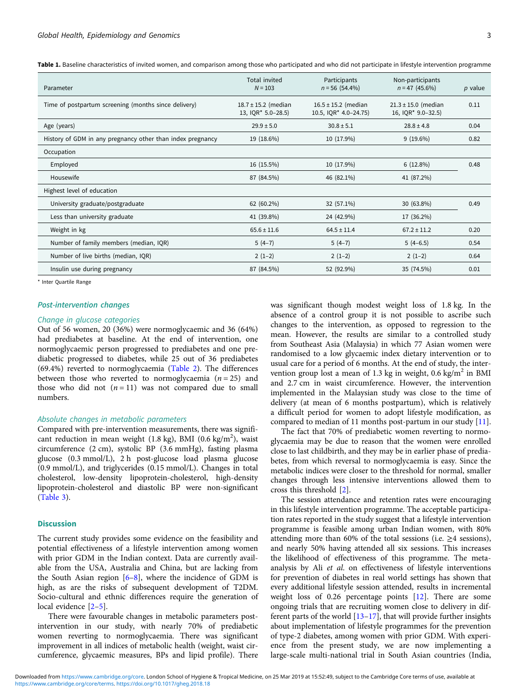<span id="page-2-0"></span>Table 1. Baseline characteristics of invited women, and comparison among those who participated and who did not participate in lifestyle intervention programme

| Parameter                                                  | Total invited<br>$N = 103$                    | Participants<br>$n = 56$ (54.4%)                 | Non-participants<br>$n = 47$ (45.6%)          | $p$ value |
|------------------------------------------------------------|-----------------------------------------------|--------------------------------------------------|-----------------------------------------------|-----------|
| Time of postpartum screening (months since delivery)       | $18.7 \pm 15.2$ (median<br>13, IQR* 5.0-28.5) | $16.5 \pm 15.2$ (median<br>10.5, IQR* 4.0-24.75) | $21.3 \pm 15.0$ (median<br>16, IQR* 9.0-32.5) | 0.11      |
| Age (years)                                                | $29.9 \pm 5.0$                                | $30.8 \pm 5.1$                                   | $28.8 \pm 4.8$                                | 0.04      |
| History of GDM in any pregnancy other than index pregnancy | 19 (18.6%)                                    | 10 (17.9%)                                       | $9(19.6\%)$                                   | 0.82      |
| Occupation                                                 |                                               |                                                  |                                               |           |
| Employed                                                   | 16 (15.5%)                                    | 10 (17.9%)                                       | 6(12.8%)                                      | 0.48      |
| Housewife                                                  | 87 (84.5%)                                    | 46 (82.1%)                                       | 41 (87.2%)                                    |           |
| Highest level of education                                 |                                               |                                                  |                                               |           |
| University graduate/postgraduate                           | 62 (60.2%)                                    | 32 (57.1%)                                       | 30 (63.8%)                                    | 0.49      |
| Less than university graduate                              | 41 (39.8%)                                    | 24 (42.9%)                                       | 17 (36.2%)                                    |           |
| Weight in kg                                               | $65.6 \pm 11.6$                               | $64.5 \pm 11.4$                                  | $67.2 \pm 11.2$                               | 0.20      |
| Number of family members (median, IQR)                     | $5(4-7)$                                      | $5(4-7)$                                         | $5(4-6.5)$                                    | 0.54      |
| Number of live births (median, IQR)                        | $2(1-2)$                                      | $2(1-2)$                                         | $2(1-2)$                                      | 0.64      |
| Insulin use during pregnancy                               | 87 (84.5%)                                    | 52 (92.9%)                                       | 35 (74.5%)                                    | 0.01      |

\* Inter Quartile Range

#### Post-intervention changes

#### Change in glucose categories

Out of 56 women, 20 (36%) were normoglycaemic and 36 (64%) had prediabetes at baseline. At the end of intervention, one normoglycaemic person progressed to prediabetes and one prediabetic progressed to diabetes, while 25 out of 36 prediabetes (69.4%) reverted to normoglycaemia [\(Table 2\)](#page-3-0). The differences between those who reverted to normoglycaemia ( $n = 25$ ) and those who did not  $(n = 11)$  was not compared due to small numbers.

#### Absolute changes in metabolic parameters

Compared with pre-intervention measurements, there was significant reduction in mean weight  $(1.8 \text{ kg})$ , BMI  $(0.6 \text{ kg/m}^2)$ , waist circumference (2 cm), systolic BP (3.6 mmHg), fasting plasma glucose (0.3 mmol/L), 2 h post-glucose load plasma glucose (0.9 mmol/L), and triglycerides (0.15 mmol/L). Changes in total cholesterol, low-density lipoprotein-cholesterol, high-density lipoprotein-cholesterol and diastolic BP were non-significant ([Table 3](#page-3-0)).

#### **Discussion**

The current study provides some evidence on the feasibility and potential effectiveness of a lifestyle intervention among women with prior GDM in the Indian context. Data are currently available from the USA, Australia and China, but are lacking from the South Asian region  $[6-8]$  $[6-8]$  $[6-8]$  $[6-8]$ , where the incidence of GDM is high, as are the risks of subsequent development of T2DM. Socio-cultural and ethnic differences require the generation of local evidence [[2](#page-3-0)–[5\]](#page-4-0).

There were favourable changes in metabolic parameters postintervention in our study, with nearly 70% of prediabetic women reverting to normoglycaemia. There was significant improvement in all indices of metabolic health (weight, waist circumference, glycaemic measures, BPs and lipid profile). There was significant though modest weight loss of 1.8 kg. In the absence of a control group it is not possible to ascribe such changes to the intervention, as opposed to regression to the mean. However, the results are similar to a controlled study from Southeast Asia (Malaysia) in which 77 Asian women were randomised to a low glycaemic index dietary intervention or to usual care for a period of 6 months. At the end of study, the intervention group lost a mean of 1.3 kg in weight,  $0.6 \text{ kg/m}^2$  in BMI and 2.7 cm in waist circumference. However, the intervention implemented in the Malaysian study was close to the time of delivery (at mean of 6 months postpartum), which is relatively a difficult period for women to adopt lifestyle modification, as compared to median of 11 months post-partum in our study [\[11](#page-4-0)].

The fact that 70% of prediabetic women reverting to normoglycaemia may be due to reason that the women were enrolled close to last childbirth, and they may be in earlier phase of prediabetes, from which reversal to normoglycaemia is easy. Since the metabolic indices were closer to the threshold for normal, smaller changes through less intensive interventions allowed them to cross this threshold [\[2\]](#page-3-0).

The session attendance and retention rates were encouraging in this lifestyle intervention programme. The acceptable participation rates reported in the study suggest that a lifestyle intervention programme is feasible among urban Indian women, with 80% attending more than 60% of the total sessions (i.e.  $\geq$ 4 sessions), and nearly 50% having attended all six sessions. This increases the likelihood of effectiveness of this programme. The metaanalysis by Ali et al. on effectiveness of lifestyle interventions for prevention of diabetes in real world settings has shown that every additional lifestyle session attended, results in incremental weight loss of 0.26 percentage points [\[12\]](#page-4-0). There are some ongoing trials that are recruiting women close to delivery in different parts of the world [[13](#page-4-0)–[17\]](#page-4-0), that will provide further insights about implementation of lifestyle programmes for the prevention of type-2 diabetes, among women with prior GDM. With experience from the present study, we are now implementing a large-scale multi-national trial in South Asian countries (India,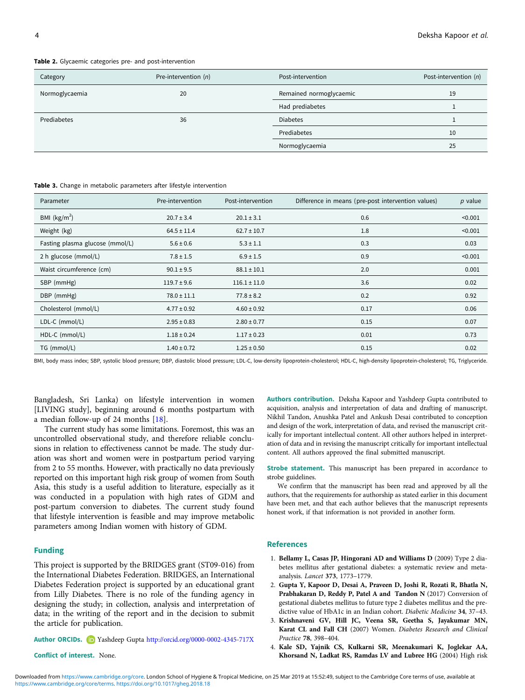<span id="page-3-0"></span>Table 2. Glycaemic categories pr

| <b>ble 2.</b> Glycaemic categories pre- and post-intervention |                      |                         |                       |  |  |
|---------------------------------------------------------------|----------------------|-------------------------|-----------------------|--|--|
| Category                                                      | Pre-intervention (n) | Post-intervention       | Post-intervention (n) |  |  |
| <b>Normoglycaemia</b>                                         | 20                   | Remained normoglycaemic |                       |  |  |

| Normoglycaemia | 20 | Remained normoglycaemic<br>19 |    |
|----------------|----|-------------------------------|----|
|                |    | Had prediabetes               |    |
| Prediabetes    | 36 | <b>Diabetes</b>               |    |
|                |    |                               | 10 |
|                |    | Normoglycaemia                | 25 |

Table 3. Change in metabolic parameters after lifestyle intervention

| Parameter                       | Pre-intervention | Post-intervention | Difference in means (pre-post intervention values) | $p$ value |
|---------------------------------|------------------|-------------------|----------------------------------------------------|-----------|
| BMI $(kg/m2)$                   | $20.7 \pm 3.4$   | $20.1 \pm 3.1$    | 0.6                                                | < 0.001   |
| Weight (kg)                     | $64.5 \pm 11.4$  | $62.7 \pm 10.7$   | 1.8                                                | < 0.001   |
| Fasting plasma glucose (mmol/L) | $5.6 \pm 0.6$    | $5.3 \pm 1.1$     | 0.3                                                | 0.03      |
| 2 h glucose (mmol/L)            | $7.8 \pm 1.5$    | $6.9 \pm 1.5$     | 0.9                                                | < 0.001   |
| Waist circumference (cm)        | $90.1 \pm 9.5$   | $88.1 \pm 10.1$   | 2.0                                                | 0.001     |
| SBP (mmHg)                      | $119.7 \pm 9.6$  | $116.1 \pm 11.0$  | 3.6                                                | 0.02      |
| DBP (mmHg)                      | $78.0 \pm 11.1$  | $77.8 \pm 8.2$    | 0.2                                                | 0.92      |
| Cholesterol (mmol/L)            | $4.77 \pm 0.92$  | $4.60 \pm 0.92$   | 0.17                                               | 0.06      |
| $LDL-C$ (mmol/L)                | $2.95 \pm 0.83$  | $2.80 \pm 0.77$   | 0.15                                               | 0.07      |
| HDL-C (mmol/L)                  | $1.18 \pm 0.24$  | $1.17 \pm 0.23$   | 0.01                                               | 0.73      |
| TG (mmol/L)                     | $1.40 \pm 0.72$  | $1.25 \pm 0.50$   | 0.15                                               | 0.02      |

BMI, body mass index; SBP, systolic blood pressure; DBP, diastolic blood pressure; LDL-C, low-density lipoprotein-cholesterol; HDL-C, high-density lipoprotein-cholesterol; TG, Triglyceride.

Bangladesh, Sri Lanka) on lifestyle intervention in women [LIVING study], beginning around 6 months postpartum with a median follow-up of 24 months [[18\]](#page-4-0).

The current study has some limitations. Foremost, this was an uncontrolled observational study, and therefore reliable conclusions in relation to effectiveness cannot be made. The study duration was short and women were in postpartum period varying from 2 to 55 months. However, with practically no data previously reported on this important high risk group of women from South Asia, this study is a useful addition to literature, especially as it was conducted in a population with high rates of GDM and post-partum conversion to diabetes. The current study found that lifestyle intervention is feasible and may improve metabolic parameters among Indian women with history of GDM.

## Funding

This project is supported by the BRIDGES grant (ST09-016) from the International Diabetes Federation. BRIDGES, an International Diabetes Federation project is supported by an educational grant from Lilly Diabetes. There is no role of the funding agency in designing the study; in collection, analysis and interpretation of data; in the writing of the report and in the decision to submit the article for publication.

Author ORCIDs. (D Yashdeep Gupta <http://orcid.org/0000-0002-4345-717X>

Conflict of interest. None.

Authors contribution. Deksha Kapoor and Yashdeep Gupta contributed to acquisition, analysis and interpretation of data and drafting of manuscript. Nikhil Tandon, Anushka Patel and Ankush Desai contributed to conception and design of the work, interpretation of data, and revised the manuscript critically for important intellectual content. All other authors helped in interpretation of data and in revising the manuscript critically for important intellectual content. All authors approved the final submitted manuscript.

Strobe statement. This manuscript has been prepared in accordance to strobe guidelines.

We confirm that the manuscript has been read and approved by all the authors, that the requirements for authorship as stated earlier in this document have been met, and that each author believes that the manuscript represents honest work, if that information is not provided in another form.

## References

- 1. Bellamy L, Casas JP, Hingorani AD and Williams D (2009) Type 2 diabetes mellitus after gestational diabetes: a systematic review and metaanalysis. Lancet 373, 1773–1779.
- 2. Gupta Y, Kapoor D, Desai A, Praveen D, Joshi R, Rozati R, Bhatla N, Prabhakaran D, Reddy P, Patel A and Tandon N (2017) Conversion of gestational diabetes mellitus to future type 2 diabetes mellitus and the predictive value of HbA1c in an Indian cohort. Diabetic Medicine 34, 37–43.
- 3. Krishnaveni GV, Hill JC, Veena SR, Geetha S, Jayakumar MN, Karat CL and Fall CH (2007) Women. Diabetes Research and Clinical Practice 78, 398–404.
- 4. Kale SD, Yajnik CS, Kulkarni SR, Meenakumari K, Joglekar AA, Khorsand N, Ladkat RS, Ramdas LV and Lubree HG (2004) High risk